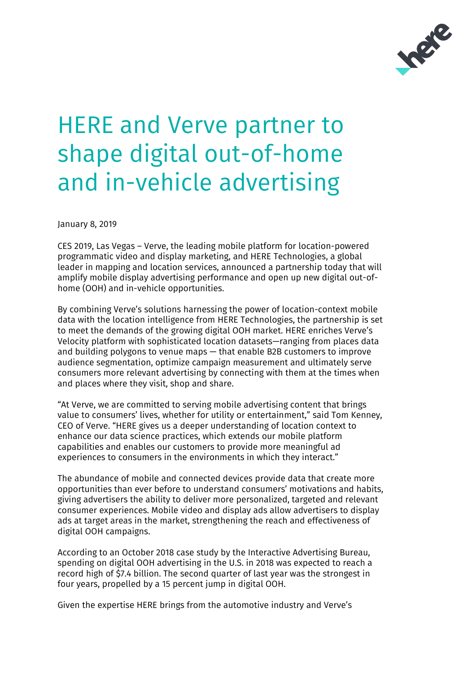

## HERE and Verve partner to shape digital out-of-home and in-vehicle advertising

January 8, 2019

CES 2019, Las Vegas – Verve, the leading mobile platform for location-powered programmatic video and display marketing, and HERE Technologies, a global leader in mapping and location services, announced a partnership today that will amplify mobile display advertising performance and open up new digital out-ofhome (OOH) and in-vehicle opportunities.

By combining Verve's solutions harnessing the power of location-context mobile data with the location intelligence from HERE Technologies, the partnership is set to meet the demands of the growing digital OOH market. HERE enriches Verve's Velocity platform with sophisticated location datasets—ranging from places data and building polygons to venue maps — that enable B2B customers to improve audience segmentation, optimize campaign measurement and ultimately serve consumers more relevant advertising by connecting with them at the times when and places where they visit, shop and share.

"At Verve, we are committed to serving mobile advertising content that brings value to consumers' lives, whether for utility or entertainment," said Tom Kenney, CEO of Verve. "HERE gives us a deeper understanding of location context to enhance our data science practices, which extends our mobile platform capabilities and enables our customers to provide more meaningful ad experiences to consumers in the environments in which they interact."

The abundance of mobile and connected devices provide data that create more opportunities than ever before to understand consumers' motivations and habits, giving advertisers the ability to deliver more personalized, targeted and relevant consumer experiences. Mobile video and display ads allow advertisers to display ads at target areas in the market, strengthening the reach and effectiveness of digital OOH campaigns.

According to an October 2018 case study by the Interactive Advertising Bureau, spending on digital OOH advertising in the U.S. in 2018 was expected to reach a record high of \$7.4 billion. The second quarter of last year was the strongest in four years, propelled by a 15 percent jump in digital OOH.

Given the expertise HERE brings from the automotive industry and Verve's